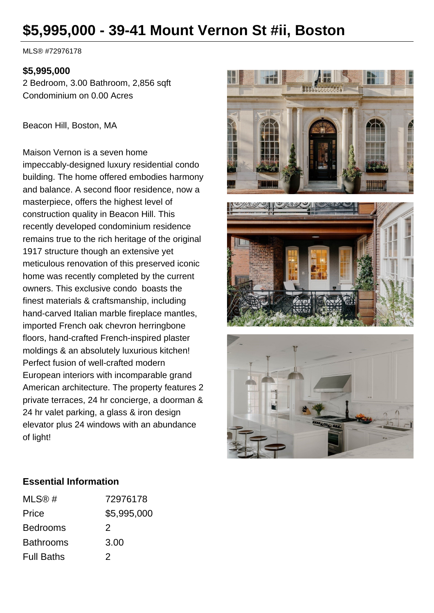# **\$5,995,000 - 39-41 Mount Vernon St #ii, Boston**

MLS® #72976178

## **\$5,995,000**

2 Bedroom, 3.00 Bathroom, 2,856 sqft Condominium on 0.00 Acres

Beacon Hill, Boston, MA

Maison Vernon is a seven home impeccably-designed luxury residential condo building. The home offered embodies harmony and balance. A second floor residence, now a masterpiece, offers the highest level of construction quality in Beacon Hill. This recently developed condominium residence remains true to the rich heritage of the original 1917 structure though an extensive yet meticulous renovation of this preserved iconic home was recently completed by the current owners. This exclusive condo boasts the finest materials & craftsmanship, including hand-carved Italian marble fireplace mantles, imported French oak chevron herringbone floors, hand-crafted French-inspired plaster moldings & an absolutely luxurious kitchen! Perfect fusion of well-crafted modern European interiors with incomparable grand American architecture. The property features 2 private terraces, 24 hr concierge, a doorman & 24 hr valet parking, a glass & iron design elevator plus 24 windows with an abundance of light!







## **Essential Information**

| MLS@#             | 72976178    |
|-------------------|-------------|
| Price             | \$5,995,000 |
| <b>Bedrooms</b>   | 2           |
| <b>Bathrooms</b>  | 3.00        |
| <b>Full Baths</b> | 2           |